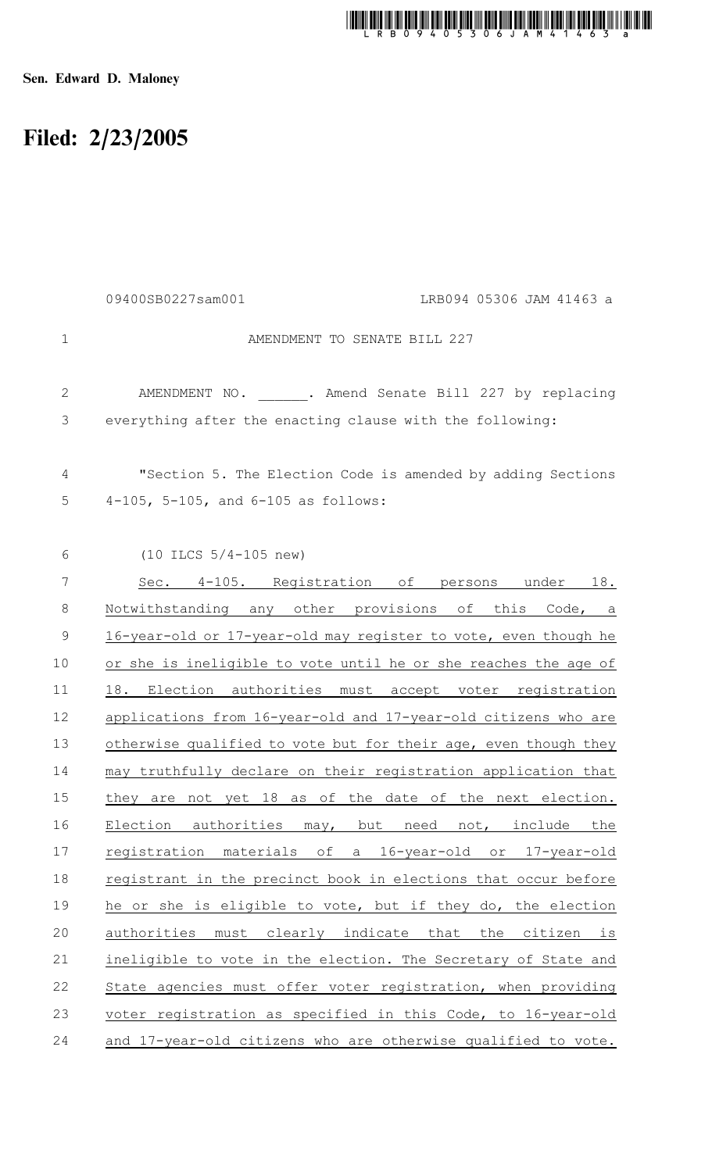## t munic mili adi lan sina din fan Bon Bon Bon Bon Bon Dan Varit in tim bon ban Bon Bon Lin to ton

Sen. Edward D. Maloney

## Filed: 2/23/2005

|              | 09400SB0227sam001<br>LRB094 05306 JAM 41463 a                   |
|--------------|-----------------------------------------------------------------|
| $\mathbf 1$  | AMENDMENT TO SENATE BILL 227                                    |
| $\mathbf{2}$ | AMENDMENT NO. . Amend Senate Bill 227 by replacing              |
| 3            | everything after the enacting clause with the following:        |
| 4            | "Section 5. The Election Code is amended by adding Sections     |
| 5            | 4-105, 5-105, and 6-105 as follows:                             |
| 6            | $(10$ ILCS $5/4-105$ new)                                       |
| 7            | Sec. 4-105. Registration of persons<br>under 18.                |
| 8            | Notwithstanding any other provisions of this Code, a            |
| 9            | 16-year-old or 17-year-old may register to vote, even though he |
| 10           | or she is ineligible to vote until he or she reaches the age of |
| 11           | 18. Election authorities must accept voter registration         |
| 12           | applications from 16-year-old and 17-year-old citizens who are  |
| 13           | otherwise qualified to vote but for their age, even though they |
| 14           | may truthfully declare on their registration application that   |
| 15           | they are not yet 18 as of the date of the next election.        |
| 16           | Election authorities may, but need not, include the             |
| 17           | registration materials of a 16-year-old or 17-year-old          |
| 18           | registrant in the precinct book in elections that occur before  |
| 19           | he or she is eligible to vote, but if they do, the election     |
| 20           | authorities must clearly indicate that the citizen is           |
| 21           | ineligible to vote in the election. The Secretary of State and  |
| 22           | State agencies must offer voter registration, when providing    |
| 23           | voter registration as specified in this Code, to 16-year-old    |
| 24           | and 17-year-old citizens who are otherwise qualified to vote.   |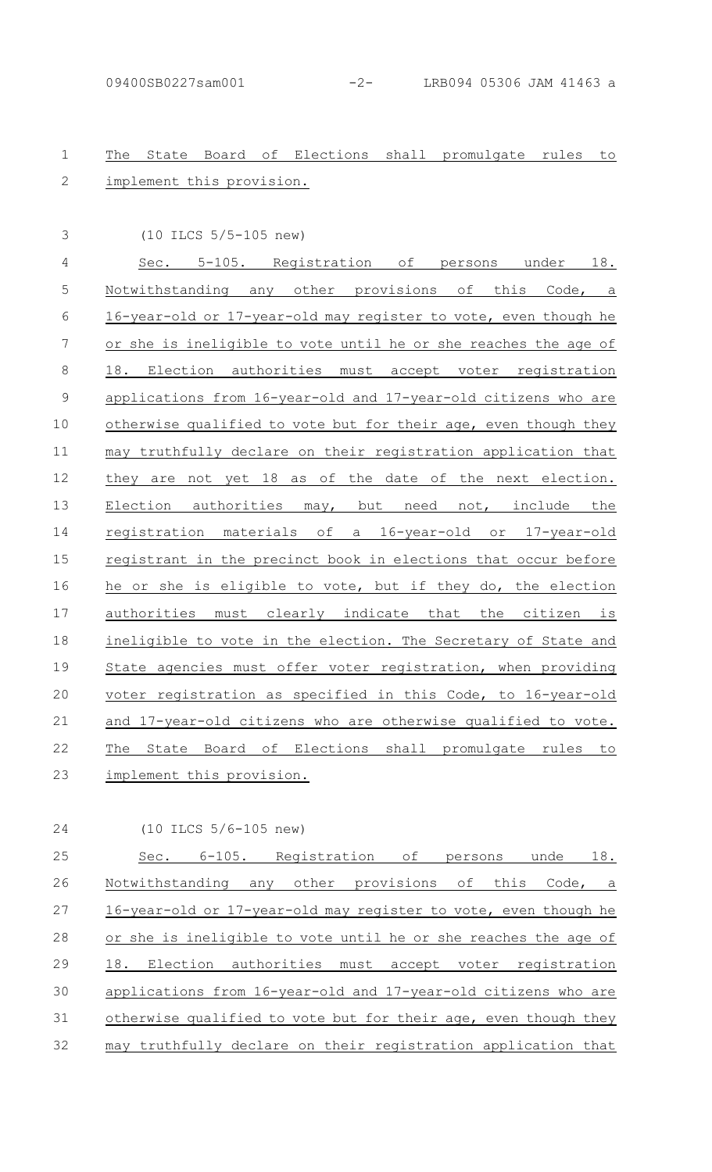## The State Board of Elections shall promulgate rules to implement this provision. 1  $\mathcal{P}$

(10 ILCS 5/5-105 new)

3

Sec. 5-105. Registration of persons under 18. Notwithstanding any other provisions of this Code, a 16-year-old or 17-year-old may register to vote, even though he or she is ineligible to vote until he or she reaches the age of 18. Election authorities must accept voter registration applications from 16-year-old and 17-year-old citizens who are otherwise qualified to vote but for their age, even though they may truthfully declare on their registration application that they are not yet 18 as of the date of the next election. Election authorities may, but need not, include the registration materials of a 16-year-old or 17-year-old registrant in the precinct book in elections that occur before he or she is eligible to vote, but if they do, the election authorities must clearly indicate that the citizen is ineligible to vote in the election. The Secretary of State and State agencies must offer voter registration, when providing voter registration as specified in this Code, to 16-year-old and 17-year-old citizens who are otherwise qualified to vote. The State Board of Elections shall promulgate rules to implement this provision. 4 5 6 7 8 9 10 11 12 13 14 15 16 17 18 19 20 21 22 23

24

(10 ILCS 5/6-105 new)

Sec. 6-105. Registration of persons unde 18. Notwithstanding any other provisions of this Code, a 16-year-old or 17-year-old may register to vote, even though he or she is ineligible to vote until he or she reaches the age of 18. Election authorities must accept voter registration applications from 16-year-old and 17-year-old citizens who are otherwise qualified to vote but for their age, even though they may truthfully declare on their registration application that 25 26 27 28 29 30 31 32